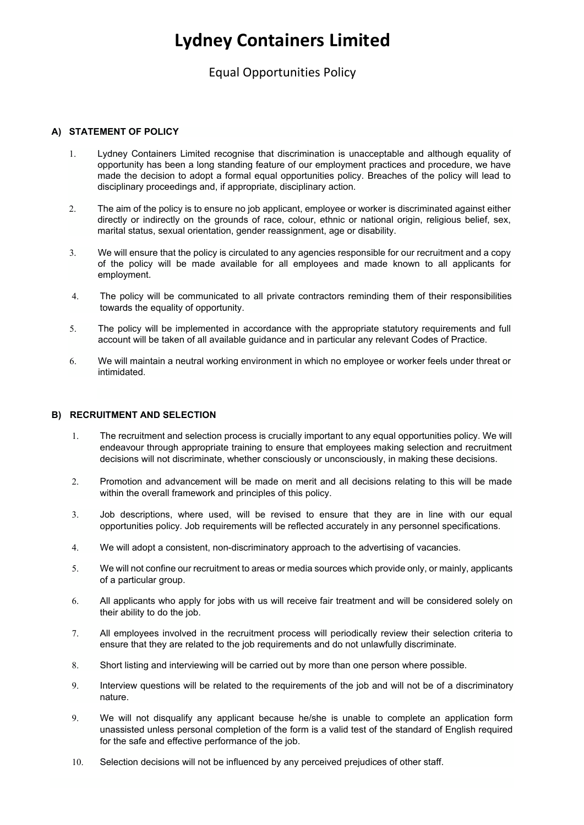# **Lydney Containers Limited**

### Equal Opportunities Policy

### **A) STATEMENT OF POLICY**

- 1. Lydney Containers Limited recognise that discrimination is unacceptable and although equality of opportunity has been a long standing feature of our employment practices and procedure, we have made the decision to adopt a formal equal opportunities policy. Breaches of the policy will lead to disciplinary proceedings and, if appropriate, disciplinary action.
- 2. The aim of the policy is to ensure no job applicant, employee or worker is discriminated against either directly or indirectly on the grounds of race, colour, ethnic or national origin, religious belief, sex, marital status, sexual orientation, gender reassignment, age or disability.
- 3. We will ensure that the policy is circulated to any agencies responsible for our recruitment and a copy of the policy will be made available for all employees and made known to all applicants for employment.
- 4. The policy will be communicated to all private contractors reminding them of their responsibilities towards the equality of opportunity.
- 5. The policy will be implemented in accordance with the appropriate statutory requirements and full account will be taken of all available guidance and in particular any relevant Codes of Practice.
- 6. We will maintain a neutral working environment in which no employee or worker feels under threat or intimidated.

### **B) RECRUITMENT AND SELECTION**

- 1. The recruitment and selection process is crucially important to any equal opportunities policy. We will endeavour through appropriate training to ensure that employees making selection and recruitment decisions will not discriminate, whether consciously or unconsciously, in making these decisions.
- 2. Promotion and advancement will be made on merit and all decisions relating to this will be made within the overall framework and principles of this policy.
- 3. Job descriptions, where used, will be revised to ensure that they are in line with our equal opportunities policy. Job requirements will be reflected accurately in any personnel specifications.
- 4. We will adopt a consistent, non-discriminatory approach to the advertising of vacancies.
- 5. We will not confine our recruitment to areas or media sources which provide only, or mainly, applicants of a particular group.
- 6. All applicants who apply for jobs with us will receive fair treatment and will be considered solely on their ability to do the job.
- 7. All employees involved in the recruitment process will periodically review their selection criteria to ensure that they are related to the job requirements and do not unlawfully discriminate.
- 8. Short listing and interviewing will be carried out by more than one person where possible.
- 9. Interview questions will be related to the requirements of the job and will not be of a discriminatory nature.
- 9. We will not disqualify any applicant because he/she is unable to complete an application form unassisted unless personal completion of the form is a valid test of the standard of English required for the safe and effective performance of the job.
- 10. Selection decisions will not be influenced by any perceived prejudices of other staff.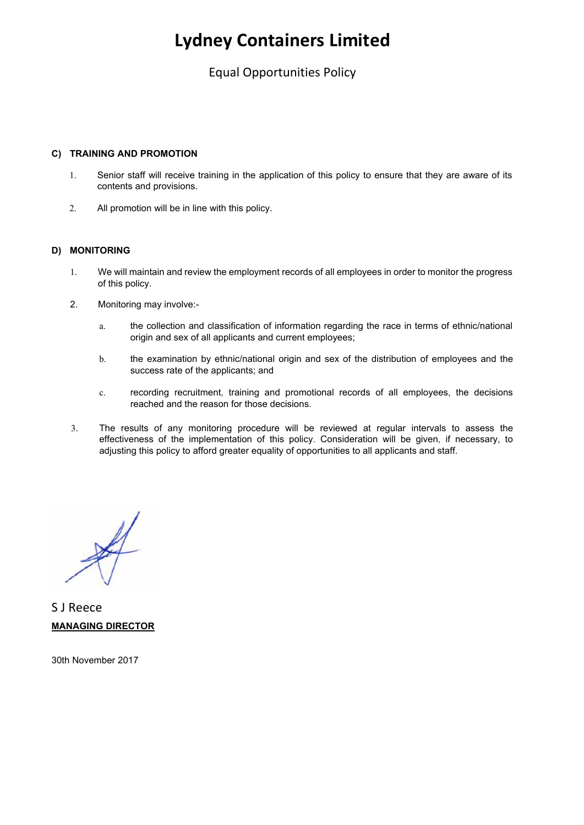# **Lydney Containers Limited**

### Equal Opportunities Policy

### **C) TRAINING AND PROMOTION**

- 1. Senior staff will receive training in the application of this policy to ensure that they are aware of its contents and provisions.
- 2. All promotion will be in line with this policy.

### **D) MONITORING**

- 1. We will maintain and review the employment records of all employees in order to monitor the progress of this policy.
- 2. Monitoring may involve:
	- a. the collection and classification of information regarding the race in terms of ethnic/national origin and sex of all applicants and current employees;
	- b. the examination by ethnic/national origin and sex of the distribution of employees and the success rate of the applicants; and
	- c. recording recruitment, training and promotional records of all employees, the decisions reached and the reason for those decisions.
- 3. The results of any monitoring procedure will be reviewed at regular intervals to assess the effectiveness of the implementation of this policy. Consideration will be given, if necessary, to adjusting this policy to afford greater equality of opportunities to all applicants and staff.

S J Reece **MANAGING DIRECTOR** 

30th November 2017